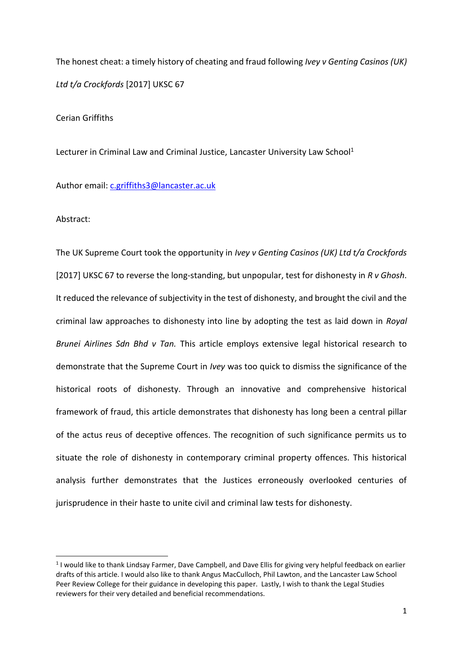The honest cheat: a timely history of cheating and fraud following *Ivey v Genting Casinos (UK) Ltd t/a Crockfords* [2017] UKSC 67

Cerian Griffiths

Lecturer in Criminal Law and Criminal Justice, Lancaster University Law School<sup>1</sup>

Author email: [c.griffiths3@lancaster.ac.uk](mailto:c.griffiths3@lancaster.ac.uk)

Abstract:

1

The UK Supreme Court took the opportunity in *Ivey v Genting Casinos (UK) Ltd t/a Crockfords* [2017] UKSC 67 to reverse the long-standing, but unpopular, test for dishonesty in *R v Ghosh*. It reduced the relevance of subjectivity in the test of dishonesty, and brought the civil and the criminal law approaches to dishonesty into line by adopting the test as laid down in *Royal Brunei Airlines Sdn Bhd v Tan.* This article employs extensive legal historical research to demonstrate that the Supreme Court in *Ivey* was too quick to dismiss the significance of the historical roots of dishonesty. Through an innovative and comprehensive historical framework of fraud, this article demonstrates that dishonesty has long been a central pillar of the actus reus of deceptive offences. The recognition of such significance permits us to situate the role of dishonesty in contemporary criminal property offences. This historical analysis further demonstrates that the Justices erroneously overlooked centuries of jurisprudence in their haste to unite civil and criminal law tests for dishonesty.

<sup>&</sup>lt;sup>1</sup> I would like to thank Lindsay Farmer, Dave Campbell, and Dave Ellis for giving very helpful feedback on earlier drafts of this article. I would also like to thank Angus MacCulloch, Phil Lawton, and the Lancaster Law School Peer Review College for their guidance in developing this paper. Lastly, I wish to thank the Legal Studies reviewers for their very detailed and beneficial recommendations.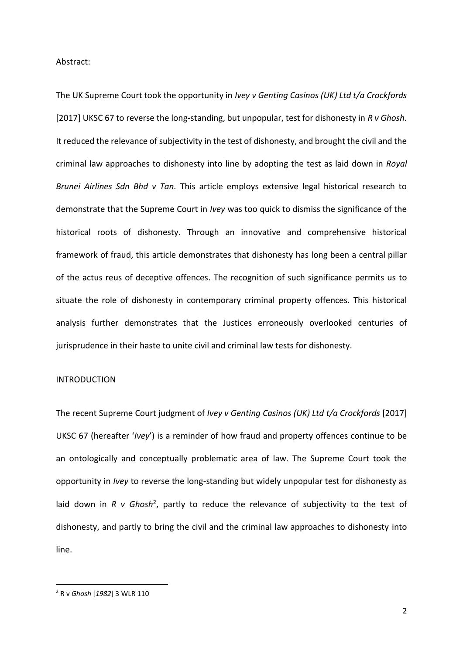Abstract:

The UK Supreme Court took the opportunity in *Ivey v Genting Casinos (UK) Ltd t/a Crockfords* [2017] UKSC 67 to reverse the long-standing, but unpopular, test for dishonesty in *R v Ghosh*. It reduced the relevance of subjectivity in the test of dishonesty, and brought the civil and the criminal law approaches to dishonesty into line by adopting the test as laid down in *Royal Brunei Airlines Sdn Bhd v Tan.* This article employs extensive legal historical research to demonstrate that the Supreme Court in *Ivey* was too quick to dismiss the significance of the historical roots of dishonesty. Through an innovative and comprehensive historical framework of fraud, this article demonstrates that dishonesty has long been a central pillar of the actus reus of deceptive offences. The recognition of such significance permits us to situate the role of dishonesty in contemporary criminal property offences. This historical analysis further demonstrates that the Justices erroneously overlooked centuries of jurisprudence in their haste to unite civil and criminal law tests for dishonesty.

## INTRODUCTION

The recent Supreme Court judgment of *Ivey v Genting Casinos (UK) Ltd t/a Crockfords* [2017] UKSC 67 (hereafter '*Ivey*') is a reminder of how fraud and property offences continue to be an ontologically and conceptually problematic area of law. The Supreme Court took the opportunity in *Ivey* to reverse the long-standing but widely unpopular test for dishonesty as laid down in *R v Ghosh<sup>2</sup>*, partly to reduce the relevance of subjectivity to the test of dishonesty, and partly to bring the civil and the criminal law approaches to dishonesty into line.

<sup>2</sup> R v *Ghosh* [*1982*] 3 WLR 110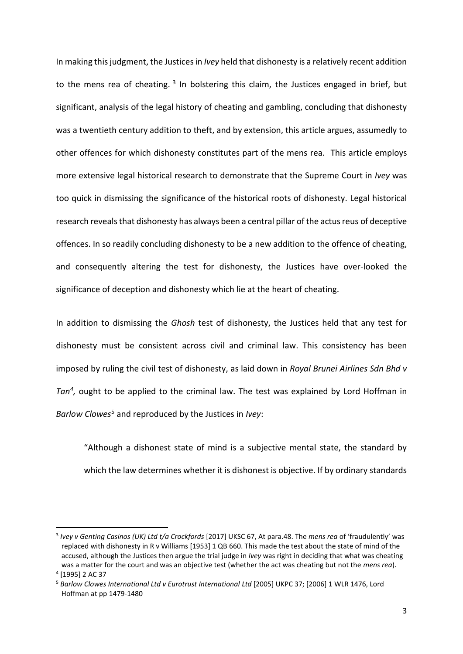<span id="page-2-0"></span>In making this judgment, the Justices in *Ivey* held that dishonesty is a relatively recent addition to the mens rea of cheating.<sup>3</sup> In bolstering this claim, the Justices engaged in brief, but significant, analysis of the legal history of cheating and gambling, concluding that dishonesty was a twentieth century addition to theft, and by extension, this article argues, assumedly to other offences for which dishonesty constitutes part of the mens rea. This article employs more extensive legal historical research to demonstrate that the Supreme Court in *Ivey* was too quick in dismissing the significance of the historical roots of dishonesty. Legal historical research reveals that dishonesty has always been a central pillar of the actus reus of deceptive offences. In so readily concluding dishonesty to be a new addition to the offence of cheating, and consequently altering the test for dishonesty, the Justices have over-looked the significance of deception and dishonesty which lie at the heart of cheating.

In addition to dismissing the *Ghosh* test of dishonesty, the Justices held that any test for dishonesty must be consistent across civil and criminal law. This consistency has been imposed by ruling the civil test of dishonesty, as laid down in *Royal Brunei Airlines Sdn Bhd v Tan<sup>4</sup> ,* ought to be applied to the criminal law. The test was explained by Lord Hoffman in *Barlow Clowes*<sup>5</sup> and reproduced by the Justices in *Ivey*:

"Although a dishonest state of mind is a subjective mental state, the standard by which the law determines whether it is dishonest is objective. If by ordinary standards

<sup>3</sup> *Ivey v Genting Casinos (UK) Ltd t/a Crockfords* [2017] UKSC 67, At para.48. The *mens rea* of 'fraudulently' was replaced with dishonesty in R v Williams [1953] 1 QB 660. This made the test about the state of mind of the accused, although the Justices then argue the trial judge in *Ivey* was right in deciding that what was cheating was a matter for the court and was an objective test (whether the act was cheating but not the *mens rea*).

<sup>4</sup> [1995] 2 AC 37

<sup>5</sup> *Barlow Clowes International Ltd v Eurotrust International Ltd* [2005] UKPC 37; [2006] 1 WLR 1476, Lord Hoffman at pp 1479-1480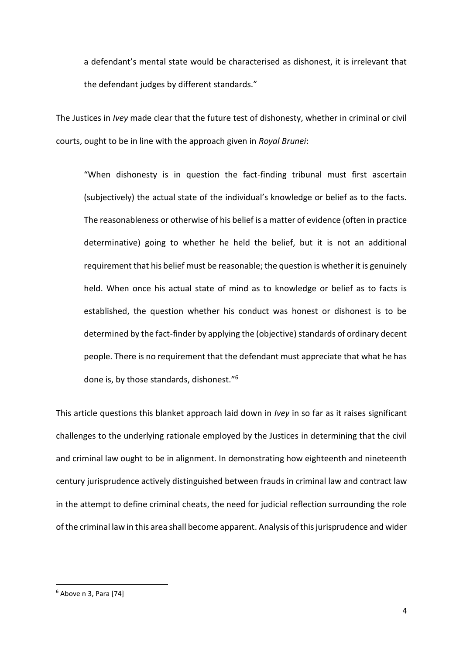a defendant's mental state would be characterised as dishonest, it is irrelevant that the defendant judges by different standards."

The Justices in *Ivey* made clear that the future test of dishonesty, whether in criminal or civil courts, ought to be in line with the approach given in *Royal Brunei*:

"When dishonesty is in question the fact-finding tribunal must first ascertain (subjectively) the actual state of the individual's knowledge or belief as to the facts. The reasonableness or otherwise of his belief is a matter of evidence (often in practice determinative) going to whether he held the belief, but it is not an additional requirement that his belief must be reasonable; the question is whether it is genuinely held. When once his actual state of mind as to knowledge or belief as to facts is established, the question whether his conduct was honest or dishonest is to be determined by the fact-finder by applying the (objective) standards of ordinary decent people. There is no requirement that the defendant must appreciate that what he has done is, by those standards, dishonest."<sup>6</sup>

This article questions this blanket approach laid down in *Ivey* in so far as it raises significant challenges to the underlying rationale employed by the Justices in determining that the civil and criminal law ought to be in alignment. In demonstrating how eighteenth and nineteenth century jurisprudence actively distinguished between frauds in criminal law and contract law in the attempt to define criminal cheats, the need for judicial reflection surrounding the role of the criminal law in this area shall become apparent. Analysis of this jurisprudence and wider

 $6$  Above n [3,](#page-2-0) Para [74]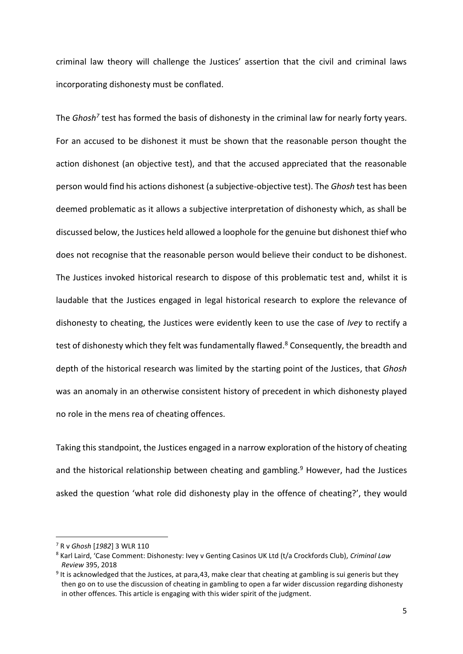criminal law theory will challenge the Justices' assertion that the civil and criminal laws incorporating dishonesty must be conflated.

The *Ghosh<sup>7</sup>* test has formed the basis of dishonesty in the criminal law for nearly forty years. For an accused to be dishonest it must be shown that the reasonable person thought the action dishonest (an objective test), and that the accused appreciated that the reasonable person would find his actions dishonest (a subjective-objective test). The *Ghosh* test has been deemed problematic as it allows a subjective interpretation of dishonesty which, as shall be discussed below, the Justices held allowed a loophole for the genuine but dishonest thief who does not recognise that the reasonable person would believe their conduct to be dishonest. The Justices invoked historical research to dispose of this problematic test and, whilst it is laudable that the Justices engaged in legal historical research to explore the relevance of dishonesty to cheating, the Justices were evidently keen to use the case of *Ivey* to rectify a test of dishonesty which they felt was fundamentally flawed.<sup>8</sup> Consequently, the breadth and depth of the historical research was limited by the starting point of the Justices, that *Ghosh* was an anomaly in an otherwise consistent history of precedent in which dishonesty played no role in the mens rea of cheating offences.

<span id="page-4-0"></span>Taking this standpoint, the Justices engaged in a narrow exploration of the history of cheating and the historical relationship between cheating and gambling.<sup>9</sup> However, had the Justices asked the question 'what role did dishonesty play in the offence of cheating?', they would

<sup>7</sup> R v *Ghosh* [*1982*] 3 WLR 110

<sup>8</sup> Karl Laird, 'Case Comment: Dishonesty: Ivey v Genting Casinos UK Ltd (t/a Crockfords Club), *Criminal Law Review* 395, 2018

<sup>&</sup>lt;sup>9</sup> It is acknowledged that the Justices, at para,43, make clear that cheating at gambling is sui generis but they then go on to use the discussion of cheating in gambling to open a far wider discussion regarding dishonesty in other offences. This article is engaging with this wider spirit of the judgment.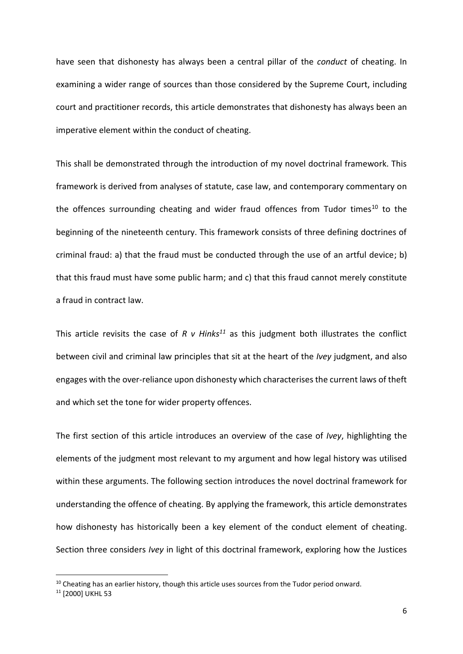have seen that dishonesty has always been a central pillar of the *conduct* of cheating. In examining a wider range of sources than those considered by the Supreme Court, including court and practitioner records, this article demonstrates that dishonesty has always been an imperative element within the conduct of cheating.

This shall be demonstrated through the introduction of my novel doctrinal framework. This framework is derived from analyses of statute, case law, and contemporary commentary on the offences surrounding cheating and wider fraud offences from Tudor times $^{10}$  to the beginning of the nineteenth century. This framework consists of three defining doctrines of criminal fraud: a) that the fraud must be conducted through the use of an artful device; b) that this fraud must have some public harm; and c) that this fraud cannot merely constitute a fraud in contract law.

This article revisits the case of *R v Hinks<sup>11</sup>* as this judgment both illustrates the conflict between civil and criminal law principles that sit at the heart of the *Ivey* judgment, and also engages with the over-reliance upon dishonesty which characterises the current laws of theft and which set the tone for wider property offences.

The first section of this article introduces an overview of the case of *Ivey*, highlighting the elements of the judgment most relevant to my argument and how legal history was utilised within these arguments. The following section introduces the novel doctrinal framework for understanding the offence of cheating. By applying the framework, this article demonstrates how dishonesty has historically been a key element of the conduct element of cheating. Section three considers *Ivey* in light of this doctrinal framework, exploring how the Justices

 $10$  Cheating has an earlier history, though this article uses sources from the Tudor period onward.

<sup>&</sup>lt;sup>11</sup> [2000] UKHL 53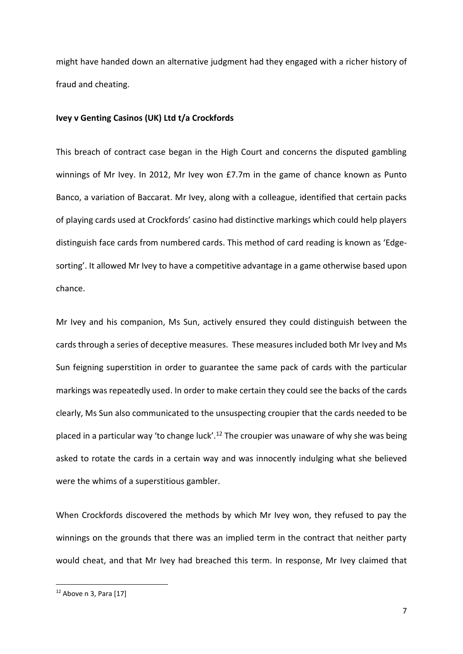might have handed down an alternative judgment had they engaged with a richer history of fraud and cheating.

# **Ivey v Genting Casinos (UK) Ltd t/a Crockfords**

This breach of contract case began in the High Court and concerns the disputed gambling winnings of Mr Ivey. In 2012, Mr Ivey won £7.7m in the game of chance known as Punto Banco, a variation of Baccarat. Mr Ivey, along with a colleague, identified that certain packs of playing cards used at Crockfords' casino had distinctive markings which could help players distinguish face cards from numbered cards. This method of card reading is known as 'Edgesorting'. It allowed Mr Ivey to have a competitive advantage in a game otherwise based upon chance.

Mr Ivey and his companion, Ms Sun, actively ensured they could distinguish between the cards through a series of deceptive measures. These measures included both Mr Ivey and Ms Sun feigning superstition in order to guarantee the same pack of cards with the particular markings was repeatedly used. In order to make certain they could see the backs of the cards clearly, Ms Sun also communicated to the unsuspecting croupier that the cards needed to be placed in a particular way 'to change luck'.<sup>12</sup> The croupier was unaware of why she was being asked to rotate the cards in a certain way and was innocently indulging what she believed were the whims of a superstitious gambler.

When Crockfords discovered the methods by which Mr Ivey won, they refused to pay the winnings on the grounds that there was an implied term in the contract that neither party would cheat, and that Mr Ivey had breached this term. In response, Mr Ivey claimed that

 $12$  Above n [3,](#page-2-0) Para [17]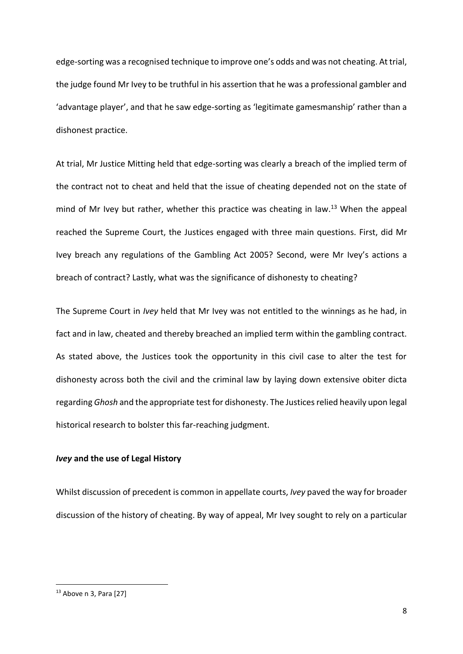edge-sorting was a recognised technique to improve one's odds and was not cheating. At trial, the judge found Mr Ivey to be truthful in his assertion that he was a professional gambler and 'advantage player', and that he saw edge-sorting as 'legitimate gamesmanship' rather than a dishonest practice.

At trial, Mr Justice Mitting held that edge-sorting was clearly a breach of the implied term of the contract not to cheat and held that the issue of cheating depended not on the state of mind of Mr Ivey but rather, whether this practice was cheating in law. <sup>13</sup> When the appeal reached the Supreme Court, the Justices engaged with three main questions. First, did Mr Ivey breach any regulations of the Gambling Act 2005? Second, were Mr Ivey's actions a breach of contract? Lastly, what was the significance of dishonesty to cheating?

The Supreme Court in *Ivey* held that Mr Ivey was not entitled to the winnings as he had, in fact and in law, cheated and thereby breached an implied term within the gambling contract. As stated above, the Justices took the opportunity in this civil case to alter the test for dishonesty across both the civil and the criminal law by laying down extensive obiter dicta regarding *Ghosh* and the appropriate test for dishonesty. The Justices relied heavily upon legal historical research to bolster this far-reaching judgment.

# *Ivey* **and the use of Legal History**

Whilst discussion of precedent is common in appellate courts, *Ivey* paved the way for broader discussion of the history of cheating. By way of appeal, Mr Ivey sought to rely on a particular

<sup>13</sup> Above n [3,](#page-2-0) Para [27]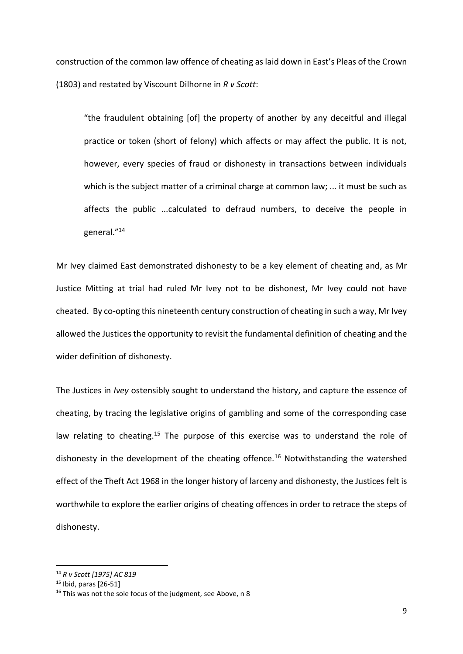construction of the common law offence of cheating as laid down in East's Pleas of the Crown (1803) and restated by Viscount Dilhorne in *R v Scott*:

"the fraudulent obtaining [of] the property of another by any deceitful and illegal practice or token (short of felony) which affects or may affect the public. It is not, however, every species of fraud or dishonesty in transactions between individuals which is the subject matter of a criminal charge at common law; ... it must be such as affects the public ...calculated to defraud numbers, to deceive the people in general."<sup>14</sup>

Mr Ivey claimed East demonstrated dishonesty to be a key element of cheating and, as Mr Justice Mitting at trial had ruled Mr Ivey not to be dishonest, Mr Ivey could not have cheated. By co-opting this nineteenth century construction of cheating in such a way, Mr Ivey allowed the Justices the opportunity to revisit the fundamental definition of cheating and the wider definition of dishonesty.

The Justices in *Ivey* ostensibly sought to understand the history, and capture the essence of cheating, by tracing the legislative origins of gambling and some of the corresponding case law relating to cheating.<sup>15</sup> The purpose of this exercise was to understand the role of dishonesty in the development of the cheating offence.<sup>16</sup> Notwithstanding the watershed effect of the Theft Act 1968 in the longer history of larceny and dishonesty, the Justices felt is worthwhile to explore the earlier origins of cheating offences in order to retrace the steps of dishonesty.

<sup>14</sup> *R v Scott [1975] AC 819*

 $15$  Ibid, paras [26-51]

<sup>&</sup>lt;sup>16</sup> This was not the sole focus of the judgment, see Above, n 8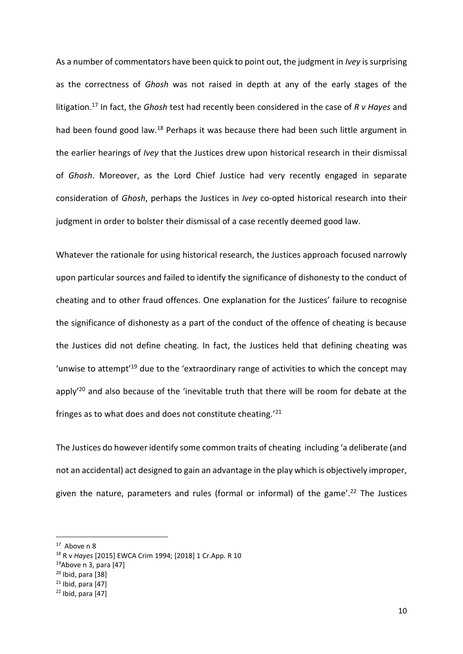As a number of commentators have been quick to point out, the judgment in *Ivey* is surprising as the correctness of *Ghosh* was not raised in depth at any of the early stages of the litigation.<sup>17</sup> In fact, the *Ghosh* test had recently been considered in the case of *R v Hayes* and had been found good law.<sup>18</sup> Perhaps it was because there had been such little argument in the earlier hearings of *Ivey* that the Justices drew upon historical research in their dismissal of *Ghosh*. Moreover, as the Lord Chief Justice had very recently engaged in separate consideration of *Ghosh*, perhaps the Justices in *Ivey* co-opted historical research into their judgment in order to bolster their dismissal of a case recently deemed good law.

Whatever the rationale for using historical research, the Justices approach focused narrowly upon particular sources and failed to identify the significance of dishonesty to the conduct of cheating and to other fraud offences. One explanation for the Justices' failure to recognise the significance of dishonesty as a part of the conduct of the offence of cheating is because the Justices did not define cheating. In fact, the Justices held that defining cheating was 'unwise to attempt<sup>'19</sup> due to the 'extraordinary range of activities to which the concept may apply<sup>'20</sup> and also because of the 'inevitable truth that there will be room for debate at the fringes as to what does and does not constitute cheating.'<sup>21</sup>

The Justices do however identify some common traits of cheating including 'a deliberate (and not an accidental) act designed to gain an advantage in the play which is objectively improper, given the nature, parameters and rules (formal or informal) of the game'.<sup>22</sup> The Justices

<sup>&</sup>lt;sup>17</sup> Above [n 8](#page-4-0)

<sup>18</sup> R v *Hayes* [2015] EWCA Crim 1994; [2018] 1 Cr.App. R 10

 $19$ Above n [3,](#page-2-0) para [47]

 $20$  Ibid, para [38]

 $21$  Ibid, para [47]

 $22$  Ibid, para  $[47]$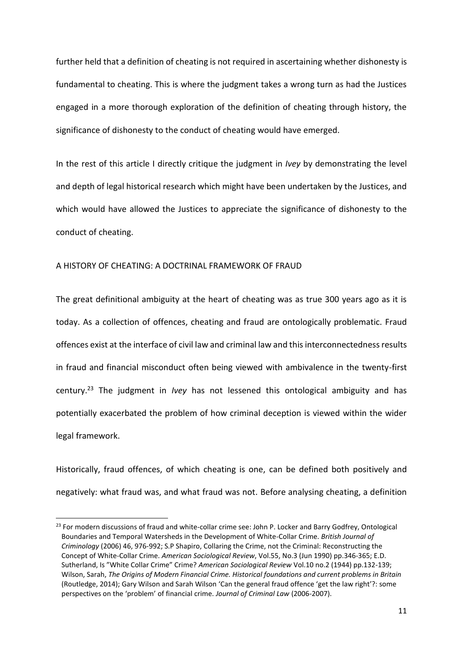further held that a definition of cheating is not required in ascertaining whether dishonesty is fundamental to cheating. This is where the judgment takes a wrong turn as had the Justices engaged in a more thorough exploration of the definition of cheating through history, the significance of dishonesty to the conduct of cheating would have emerged.

In the rest of this article I directly critique the judgment in *Ivey* by demonstrating the level and depth of legal historical research which might have been undertaken by the Justices, and which would have allowed the Justices to appreciate the significance of dishonesty to the conduct of cheating.

#### A HISTORY OF CHEATING: A DOCTRINAL FRAMEWORK OF FRAUD

1

The great definitional ambiguity at the heart of cheating was as true 300 years ago as it is today. As a collection of offences, cheating and fraud are ontologically problematic. Fraud offences exist at the interface of civil law and criminal law and this interconnectedness results in fraud and financial misconduct often being viewed with ambivalence in the twenty-first century.<sup>23</sup> The judgment in *Ivey* has not lessened this ontological ambiguity and has potentially exacerbated the problem of how criminal deception is viewed within the wider legal framework.

Historically, fraud offences, of which cheating is one, can be defined both positively and negatively: what fraud was, and what fraud was not. Before analysing cheating, a definition

<sup>&</sup>lt;sup>23</sup> For modern discussions of fraud and white-collar crime see: John P. Locker and Barry Godfrey, Ontological Boundaries and Temporal Watersheds in the Development of White-Collar Crime. *British Journal of Criminology* (2006) 46, 976-992; S.P Shapiro, Collaring the Crime, not the Criminal: Reconstructing the Concept of White-Collar Crime. *American Sociological Review*, Vol.55, No.3 (Jun 1990) pp.346-365; E.D. Sutherland, Is "White Collar Crime" Crime? *American Sociological Review* Vol.10 no.2 (1944) pp.132-139; Wilson, Sarah, *The Origins of Modern Financial Crime. Historical foundations and current problems in Britain* (Routledge, 2014); Gary Wilson and Sarah Wilson 'Can the general fraud offence 'get the law right'?: some perspectives on the 'problem' of financial crime. *Journal of Criminal Law* (2006-2007).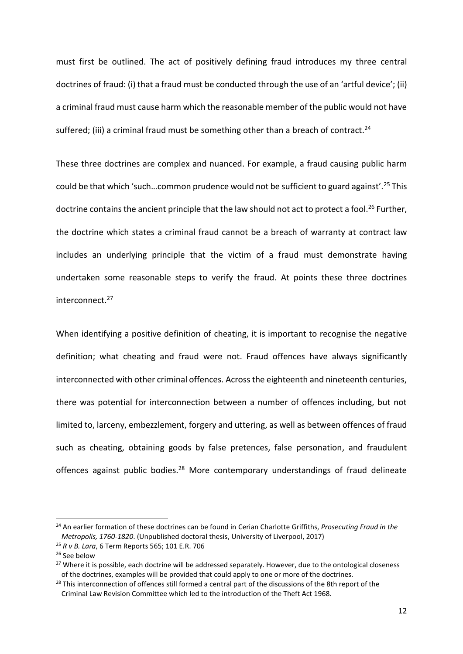must first be outlined. The act of positively defining fraud introduces my three central doctrines of fraud: (i) that a fraud must be conducted through the use of an 'artful device'; (ii) a criminal fraud must cause harm which the reasonable member of the public would not have suffered; (iii) a criminal fraud must be something other than a breach of contract.<sup>24</sup>

<span id="page-11-0"></span>These three doctrines are complex and nuanced. For example, a fraud causing public harm could be that which 'such…common prudence would not be sufficient to guard against'.<sup>25</sup> This doctrine contains the ancient principle that the law should not act to protect a fool.<sup>26</sup> Further, the doctrine which states a criminal fraud cannot be a breach of warranty at contract law includes an underlying principle that the victim of a fraud must demonstrate having undertaken some reasonable steps to verify the fraud. At points these three doctrines interconnect.<sup>27</sup>

When identifying a positive definition of cheating, it is important to recognise the negative definition; what cheating and fraud were not. Fraud offences have always significantly interconnected with other criminal offences. Across the eighteenth and nineteenth centuries, there was potential for interconnection between a number of offences including, but not limited to, larceny, embezzlement, forgery and uttering, as well as between offences of fraud such as cheating, obtaining goods by false pretences, false personation, and fraudulent offences against public bodies.<sup>28</sup> More contemporary understandings of fraud delineate

<sup>24</sup> An earlier formation of these doctrines can be found in Cerian Charlotte Griffiths, *Prosecuting Fraud in the Metropolis, 1760-1820*. (Unpublished doctoral thesis, University of Liverpool, 2017)

<sup>25</sup> *R v B. Lara*, 6 Term Reports 565; 101 E.R. 706

<sup>&</sup>lt;sup>26</sup> See below

<sup>&</sup>lt;sup>27</sup> Where it is possible, each doctrine will be addressed separately. However, due to the ontological closeness of the doctrines, examples will be provided that could apply to one or more of the doctrines.

<sup>&</sup>lt;sup>28</sup> This interconnection of offences still formed a central part of the discussions of the 8th report of the Criminal Law Revision Committee which led to the introduction of the Theft Act 1968.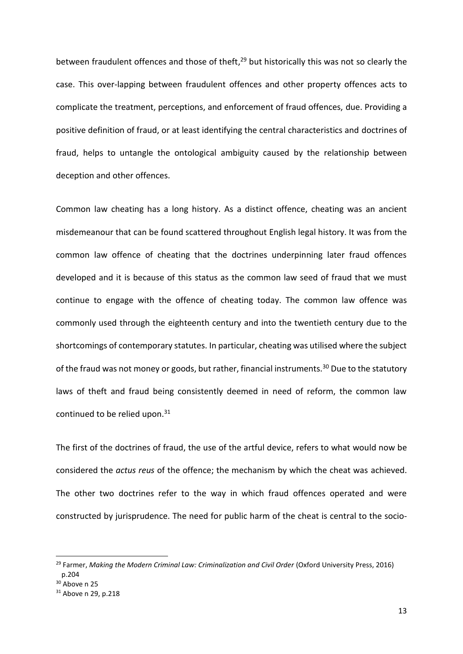<span id="page-12-0"></span>between fraudulent offences and those of theft,<sup>29</sup> but historically this was not so clearly the case. This over-lapping between fraudulent offences and other property offences acts to complicate the treatment, perceptions, and enforcement of fraud offences, due. Providing a positive definition of fraud, or at least identifying the central characteristics and doctrines of fraud, helps to untangle the ontological ambiguity caused by the relationship between deception and other offences.

Common law cheating has a long history. As a distinct offence, cheating was an ancient misdemeanour that can be found scattered throughout English legal history. It was from the common law offence of cheating that the doctrines underpinning later fraud offences developed and it is because of this status as the common law seed of fraud that we must continue to engage with the offence of cheating today. The common law offence was commonly used through the eighteenth century and into the twentieth century due to the shortcomings of contemporary statutes. In particular, cheating was utilised where the subject of the fraud was not money or goods, but rather, financial instruments.<sup>30</sup> Due to the statutory laws of theft and fraud being consistently deemed in need of reform, the common law continued to be relied upon.<sup>31</sup>

<span id="page-12-1"></span>The first of the doctrines of fraud, the use of the artful device, refers to what would now be considered the *actus reus* of the offence; the mechanism by which the cheat was achieved. The other two doctrines refer to the way in which fraud offences operated and were constructed by jurisprudence. The need for public harm of the cheat is central to the socio-

<sup>&</sup>lt;sup>29</sup> Farmer, *Making the Modern Criminal Law: Criminalization and Civil Order* (Oxford University Press, 2016) p.204

<sup>&</sup>lt;sup>30</sup> Above n [25](#page-11-0)

<sup>31</sup> Above n [29,](#page-12-0) p.218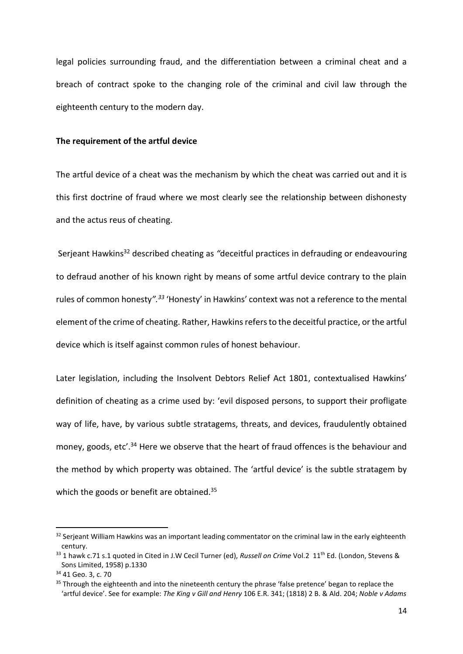legal policies surrounding fraud, and the differentiation between a criminal cheat and a breach of contract spoke to the changing role of the criminal and civil law through the eighteenth century to the modern day.

## **The requirement of the artful device**

The artful device of a cheat was the mechanism by which the cheat was carried out and it is this first doctrine of fraud where we most clearly see the relationship between dishonesty and the actus reus of cheating.

<span id="page-13-0"></span>Serjeant Hawkins<sup>32</sup> described cheating as *"*deceitful practices in defrauding or endeavouring to defraud another of his known right by means of some artful device contrary to the plain rules of common honesty*".<sup>33</sup>* 'Honesty' in Hawkins' context was not a reference to the mental element of the crime of cheating. Rather, Hawkins refers to the deceitful practice, or the artful device which is itself against common rules of honest behaviour.

Later legislation, including the Insolvent Debtors Relief Act 1801, contextualised Hawkins' definition of cheating as a crime used by: 'evil disposed persons, to support their profligate way of life, have, by various subtle stratagems, threats, and devices, fraudulently obtained money, goods, etc'.<sup>34</sup> Here we observe that the heart of fraud offences is the behaviour and the method by which property was obtained. The 'artful device' is the subtle stratagem by which the goods or benefit are obtained.<sup>35</sup>

<sup>&</sup>lt;sup>32</sup> Serjeant William Hawkins was an important leading commentator on the criminal law in the early eighteenth century.

<sup>33 1</sup> hawk c.71 s.1 quoted in Cited in J.W Cecil Turner (ed), *Russell on Crime* Vol.2 11<sup>th</sup> Ed. (London, Stevens & Sons Limited, 1958) p.1330

<sup>34</sup> 41 Geo. 3, c. 70

<sup>&</sup>lt;sup>35</sup> Through the eighteenth and into the nineteenth century the phrase 'false pretence' began to replace the 'artful device'. See for example: *The King v Gill and Henry* [106 E.R. 341; \(1818\) 2 B. & Ald. 204;](http://login.westlaw.co.uk.liverpool.idm.oclc.org/maf/wluk/app/document?src=doc&linktype=ref&context=84&crumb-action=replace&docguid=IE5740D61BB5311DCB80092A59D721F81) *Noble v Adams*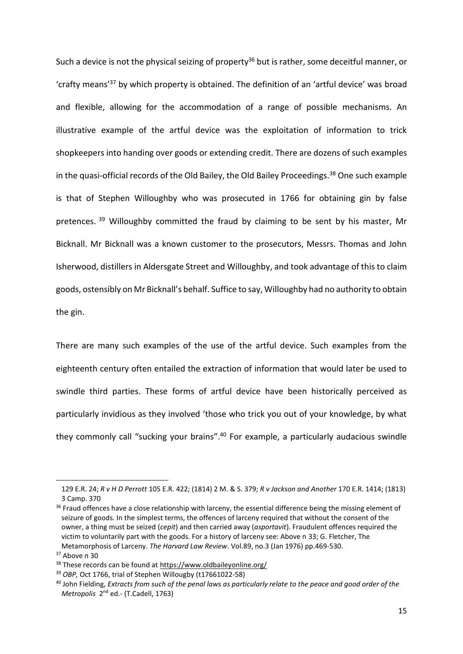Such a device is not the physical seizing of property<sup>36</sup> but is rather, some deceitful manner, or 'crafty means'<sup>37</sup> by which property is obtained. The definition of an 'artful device' was broad and flexible, allowing for the accommodation of a range of possible mechanisms. An illustrative example of the artful device was the exploitation of information to trick shopkeepers into handing over goods or extending credit. There are dozens of such examples in the quasi-official records of the Old Bailey, the Old Bailey Proceedings.<sup>38</sup> One such example is that of Stephen Willoughby who was prosecuted in 1766 for obtaining gin by false pretences. <sup>39</sup> Willoughby committed the fraud by claiming to be sent by his master, Mr Bicknall. Mr Bicknall was a known customer to the prosecutors, Messrs. Thomas and John Isherwood, distillers in Aldersgate Street and Willoughby, and took advantage of this to claim goods, ostensibly on Mr Bicknall's behalf. Suffice to say, Willoughby had no authority to obtain the gin.

There are many such examples of the use of the artful device. Such examples from the eighteenth century often entailed the extraction of information that would later be used to swindle third parties. These forms of artful device have been historically perceived as particularly invidious as they involved 'those who trick you out of your knowledge, by what they commonly call "sucking your brains".<sup>40</sup> For example, a particularly audacious swindle

<sup>129</sup> E.R. 24; *R v H D Perrott* [105 E.R. 422; \(1814\) 2 M. & S. 379;](http://login.westlaw.co.uk.liverpool.idm.oclc.org/maf/wluk/app/document?src=doc&linktype=ref&context=29&crumb-action=replace&docguid=I9ADECAA0E12311DDAF64E349D0AA1699) *R v Jackson and Another* [170 E.R. 1414; \(1813\)](http://login.westlaw.co.uk.liverpool.idm.oclc.org/maf/wluk/app/document?src=doc&linktype=ref&context=34&crumb-action=replace&docguid=I69BC7190B5F711DDA170AC525BD9F690)  [3 Camp. 370](http://login.westlaw.co.uk.liverpool.idm.oclc.org/maf/wluk/app/document?src=doc&linktype=ref&context=34&crumb-action=replace&docguid=I69BC7190B5F711DDA170AC525BD9F690)

<sup>&</sup>lt;sup>36</sup> Fraud offences have a close relationship with larceny, the essential difference being the missing element of seizure of goods. In the simplest terms, the offences of larceny required that without the consent of the owner, a thing must be seized (*cepit*) and then carried away (*asportavit*). Fraudulent offences required the victim to voluntarily part with the goods. For a history of larceny see: Above n [33;](#page-13-0) G. Fletcher, The Metamorphosis of Larceny. *The Harvard Law Review*. Vol.89, no.3 (Jan 1976) pp.469-530.

<sup>&</sup>lt;sup>37</sup> Above n [30](#page-12-1)

<sup>&</sup>lt;sup>38</sup> These records can be found at<https://www.oldbaileyonline.org/>

<sup>39</sup> *OBP,* Oct 1766, trial of Stephen Willougby (t17661022-58)

<sup>40</sup> John Fielding, *Extracts from such of the penal laws as particularly relate to the peace and good order of the*  Metropolis 2<sup>nd</sup> ed. - (T.Cadell, 1763)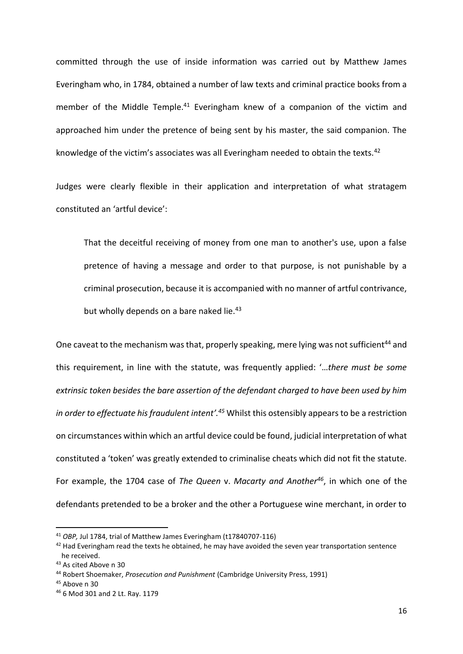committed through the use of inside information was carried out by Matthew James Everingham who, in 1784, obtained a number of law texts and criminal practice books from a member of the Middle Temple.<sup>41</sup> Everingham knew of a companion of the victim and approached him under the pretence of being sent by his master, the said companion. The knowledge of the victim's associates was all Everingham needed to obtain the texts.<sup>42</sup>

Judges were clearly flexible in their application and interpretation of what stratagem constituted an 'artful device':

That the deceitful receiving of money from one man to another's use, upon a false pretence of having a message and order to that purpose, is not punishable by a criminal prosecution, because it is accompanied with no manner of artful contrivance, but wholly depends on a bare naked lie. $43$ 

One caveat to the mechanism was that, properly speaking, mere lying was not sufficient<sup>44</sup> and this requirement, in line with the statute, was frequently applied: '…*there must be some extrinsic token besides the bare assertion of the defendant charged to have been used by him in order to effectuate his fraudulent intent'.<sup>45</sup>* Whilst this ostensibly appears to be a restriction on circumstances within which an artful device could be found, judicial interpretation of what constituted a 'token' was greatly extended to criminalise cheats which did not fit the statute. For example, the 1704 case of *The Queen* v. *Macarty and Another<sup>46</sup>*, in which one of the defendants pretended to be a broker and the other a Portuguese wine merchant, in order to

<sup>41</sup> *OBP,* Jul 1784, trial of Matthew James Everingham (t17840707-116)

<sup>&</sup>lt;sup>42</sup> Had Everingham read the texts he obtained, he may have avoided the seven year transportation sentence he received.

<sup>43</sup> As cited Above [n 30](#page-12-1)

<sup>44</sup> Robert Shoemaker, *Prosecution and Punishment* (Cambridge University Press, 1991)

<sup>45</sup> Above n [30](#page-12-1)

<sup>46</sup> 6 Mod 301 and 2 Lt. Ray. 1179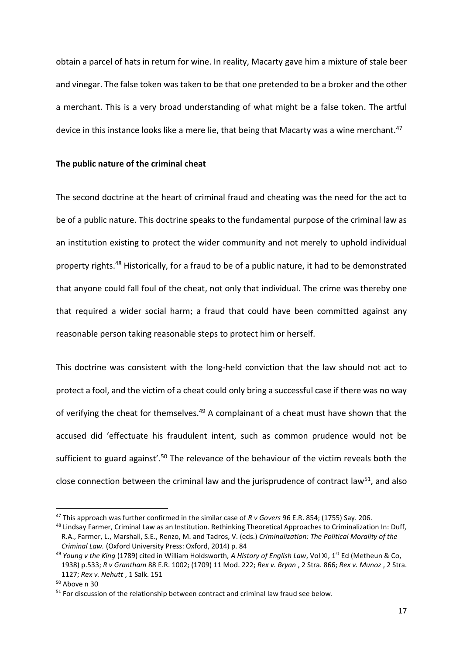obtain a parcel of hats in return for wine. In reality, Macarty gave him a mixture of stale beer and vinegar. The false token was taken to be that one pretended to be a broker and the other a merchant. This is a very broad understanding of what might be a false token. The artful device in this instance looks like a mere lie, that being that Macarty was a wine merchant.<sup>47</sup>

#### **The public nature of the criminal cheat**

<span id="page-16-0"></span>The second doctrine at the heart of criminal fraud and cheating was the need for the act to be of a public nature. This doctrine speaks to the fundamental purpose of the criminal law as an institution existing to protect the wider community and not merely to uphold individual property rights.<sup>48</sup> Historically, for a fraud to be of a public nature, it had to be demonstrated that anyone could fall foul of the cheat, not only that individual. The crime was thereby one that required a wider social harm; a fraud that could have been committed against any reasonable person taking reasonable steps to protect him or herself.

This doctrine was consistent with the long-held conviction that the law should not act to protect a fool, and the victim of a cheat could only bring a successful case if there was no way of verifying the cheat for themselves.<sup>49</sup> A complainant of a cheat must have shown that the accused did 'effectuate his fraudulent intent, such as common prudence would not be sufficient to guard against'.<sup>50</sup> The relevance of the behaviour of the victim reveals both the close connection between the criminal law and the jurisprudence of contract law<sup>51</sup>, and also

<sup>47</sup> This approach was further confirmed in the similar case of *R v Govers* 96 E.R. 854; (1755) Say. 206.

<sup>&</sup>lt;sup>48</sup> Lindsay Farmer, Criminal Law as an Institution. Rethinking Theoretical Approaches to Criminalization In: Duff, R.A., Farmer, L., Marshall, S.E., Renzo, M. and Tadros, V. (eds.) *Criminalization: The Political Morality of the Criminal Law.* (Oxford University Press: Oxford, 2014) p. 84

<sup>49</sup> *Young v the King* (1789) cited in William Holdsworth, *A History of English Law*, Vol XI, 1st Ed (Metheun & Co, 1938) p.533; *R v Grantham* 88 E.R. 1002; (1709) 11 Mod. 222; *Rex v. Bryan* , 2 Stra. 866; *Rex v. Munoz* , 2 Stra. 1127; *Rex v. Nehutt* , 1 Salk. 151

<sup>50</sup> Above n [30](#page-12-1)

<sup>&</sup>lt;sup>51</sup> For discussion of the relationship between contract and criminal law fraud see below.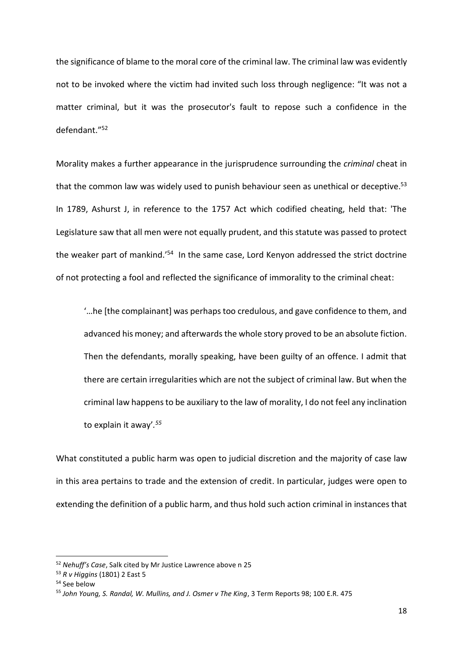the significance of blame to the moral core of the criminal law. The criminal law was evidently not to be invoked where the victim had invited such loss through negligence: "It was not a matter criminal, but it was the prosecutor's fault to repose such a confidence in the defendant."<sup>52</sup>

Morality makes a further appearance in the jurisprudence surrounding the *criminal* cheat in that the common law was widely used to punish behaviour seen as unethical or deceptive.<sup>53</sup> In 1789, Ashurst J, in reference to the 1757 Act which codified cheating, held that: 'The Legislature saw that all men were not equally prudent, and this statute was passed to protect the weaker part of mankind.'<sup>54</sup> In the same case, Lord Kenyon addressed the strict doctrine of not protecting a fool and reflected the significance of immorality to the criminal cheat:

'…he [the complainant] was perhaps too credulous, and gave confidence to them, and advanced his money; and afterwards the whole story proved to be an absolute fiction. Then the defendants, morally speaking, have been guilty of an offence. I admit that there are certain irregularities which are not the subject of criminal law. But when the criminal law happens to be auxiliary to the law of morality, I do not feel any inclination to explain it away'*. 55*

What constituted a public harm was open to judicial discretion and the majority of case law in this area pertains to trade and the extension of credit. In particular, judges were open to extending the definition of a public harm, and thus hold such action criminal in instances that

<sup>52</sup> *Nehuff's Case*, Salk cited by Mr Justice Lawrence above [n 25](#page-11-0)

<sup>53</sup> *R v Higgins* (1801) 2 East 5

<sup>54</sup> See below

<sup>55</sup> *John Young, S. Randal, W. Mullins, and J. Osmer v The King*, 3 Term Reports 98; 100 E.R. 475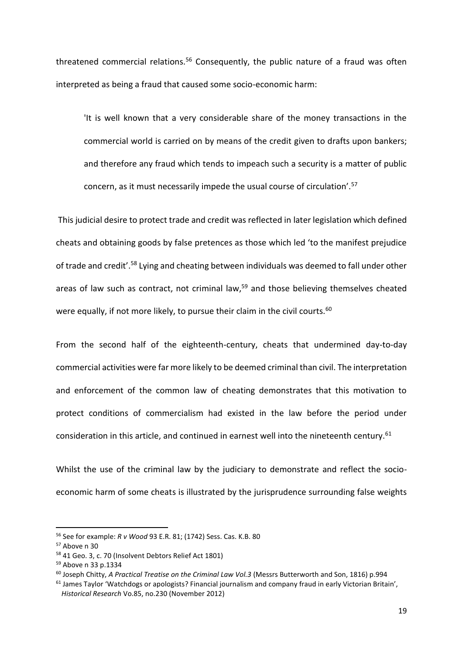threatened commercial relations.<sup>56</sup> Consequently, the public nature of a fraud was often interpreted as being a fraud that caused some socio-economic harm:

<span id="page-18-0"></span>'It is well known that a very considerable share of the money transactions in the commercial world is carried on by means of the credit given to drafts upon bankers; and therefore any fraud which tends to impeach such a security is a matter of public concern, as it must necessarily impede the usual course of circulation'.<sup>57</sup>

This judicial desire to protect trade and credit was reflected in later legislation which defined cheats and obtaining goods by false pretences as those which led 'to the manifest prejudice of trade and credit'.<sup>58</sup> Lying and cheating between individuals was deemed to fall under other areas of law such as contract, not criminal law,<sup>59</sup> and those believing themselves cheated were equally, if not more likely, to pursue their claim in the civil courts.<sup>60</sup>

From the second half of the eighteenth-century, cheats that undermined day-to-day commercial activities were far more likely to be deemed criminal than civil. The interpretation and enforcement of the common law of cheating demonstrates that this motivation to protect conditions of commercialism had existed in the law before the period under consideration in this article, and continued in earnest well into the nineteenth century.<sup>61</sup>

Whilst the use of the criminal law by the judiciary to demonstrate and reflect the socioeconomic harm of some cheats is illustrated by the jurisprudence surrounding false weights

<sup>56</sup> See for example: *R v Wood* 93 E.R. 81; (1742) Sess. Cas. K.B. 80

<sup>57</sup> Above n [30](#page-12-1)

<sup>58</sup> 41 Geo. 3, c. 70 (Insolvent Debtors Relief Act 1801)

<sup>59</sup> Above n [33](#page-13-0) p.1334

<sup>60</sup> Joseph Chitty, *A Practical Treatise on the Criminal Law Vol.3* (Messrs Butterworth and Son, 1816) p.994

<sup>&</sup>lt;sup>61</sup> James Taylor 'Watchdogs or apologists? Financial journalism and company fraud in early Victorian Britain', *Historical Research* Vo.85, no.230 (November 2012)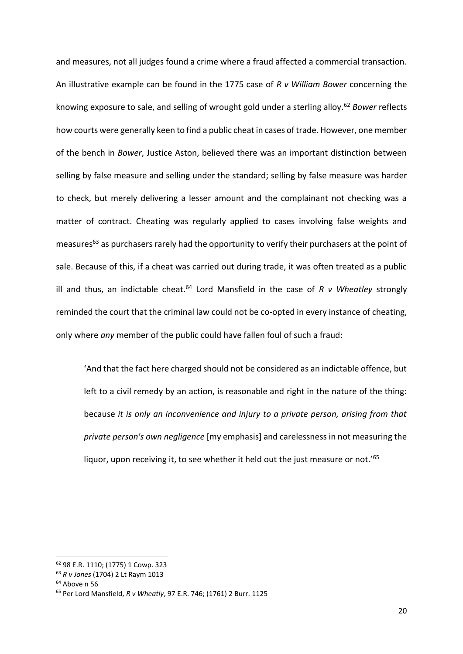and measures, not all judges found a crime where a fraud affected a commercial transaction. An illustrative example can be found in the 1775 case of *R v William Bower* concerning the knowing exposure to sale, and selling of wrought gold under a sterling alloy.<sup>62</sup> *Bower* reflects how courts were generally keen to find a public cheat in cases of trade. However, one member of the bench in *Bower*, Justice Aston, believed there was an important distinction between selling by false measure and selling under the standard; selling by false measure was harder to check, but merely delivering a lesser amount and the complainant not checking was a matter of contract. Cheating was regularly applied to cases involving false weights and measures<sup>63</sup> as purchasers rarely had the opportunity to verify their purchasers at the point of sale. Because of this, if a cheat was carried out during trade, it was often treated as a public ill and thus, an indictable cheat.<sup>64</sup> Lord Mansfield in the case of  $R$  v Wheatley strongly reminded the court that the criminal law could not be co-opted in every instance of cheating, only where *any* member of the public could have fallen foul of such a fraud:

'And that the fact here charged should not be considered as an indictable offence, but left to a civil remedy by an action, is reasonable and right in the nature of the thing: because *it is only an inconvenience and injury to a private person, arising from that private person's own negligence* [my emphasis] and carelessness in not measuring the liquor, upon receiving it, to see whether it held out the just measure or not.<sup>'65</sup>

<sup>62</sup> 98 E.R. 1110; (1775) 1 Cowp. 323

<sup>63</sup> *R v Jones* (1704) 2 Lt Raym 1013

 $64$  Above n [56](#page-18-0)

<sup>65</sup> Per Lord Mansfield, *R v Wheatly*, 97 E.R. 746; (1761) 2 Burr. 1125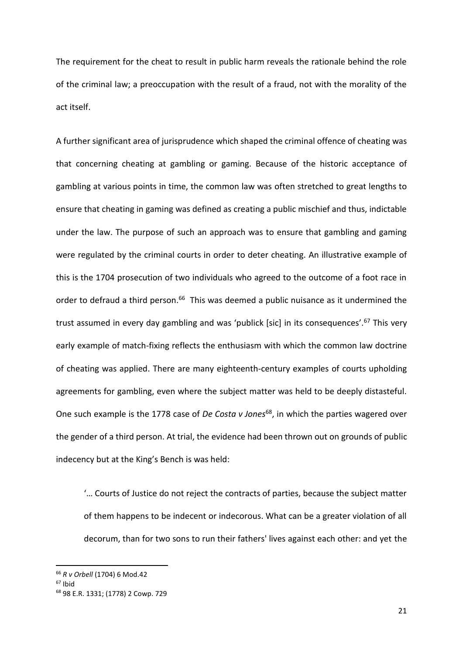The requirement for the cheat to result in public harm reveals the rationale behind the role of the criminal law; a preoccupation with the result of a fraud, not with the morality of the act itself.

A further significant area of jurisprudence which shaped the criminal offence of cheating was that concerning cheating at gambling or gaming. Because of the historic acceptance of gambling at various points in time, the common law was often stretched to great lengths to ensure that cheating in gaming was defined as creating a public mischief and thus, indictable under the law. The purpose of such an approach was to ensure that gambling and gaming were regulated by the criminal courts in order to deter cheating. An illustrative example of this is the 1704 prosecution of two individuals who agreed to the outcome of a foot race in order to defraud a third person.<sup>66</sup> This was deemed a public nuisance as it undermined the trust assumed in every day gambling and was 'publick [sic] in its consequences'.<sup>67</sup> This very early example of match-fixing reflects the enthusiasm with which the common law doctrine of cheating was applied. There are many eighteenth-century examples of courts upholding agreements for gambling, even where the subject matter was held to be deeply distasteful. One such example is the 1778 case of *De Costa v Jones*<sup>68</sup>, in which the parties wagered over the gender of a third person. At trial, the evidence had been thrown out on grounds of public indecency but at the King's Bench is was held:

'… Courts of Justice do not reject the contracts of parties, because the subject matter of them happens to be indecent or indecorous. What can be a greater violation of all decorum, than for two sons to run their fathers' lives against each other: and yet the

<sup>66</sup> *R v Orbell* (1704) 6 Mod.42

<sup>67</sup> Ibid

<sup>68</sup> 98 E.R. 1331; (1778) 2 Cowp. 729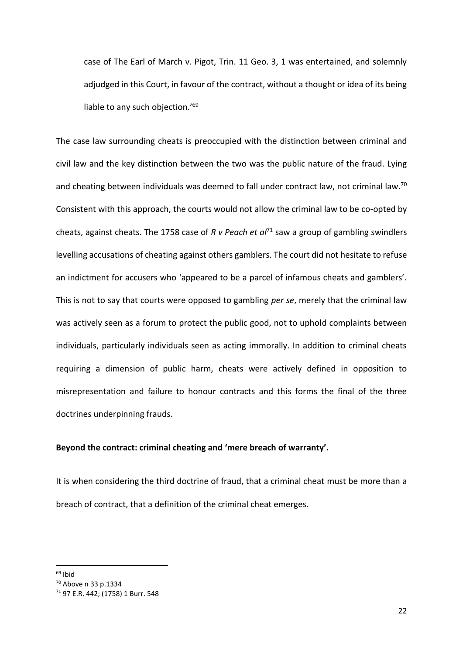case of The Earl of March v. Pigot, Trin. 11 Geo. 3, 1 was entertained, and solemnly adjudged in this Court, in favour of the contract, without a thought or idea of its being liable to any such objection.<sup>'69</sup>

The case law surrounding cheats is preoccupied with the distinction between criminal and civil law and the key distinction between the two was the public nature of the fraud. Lying and cheating between individuals was deemed to fall under contract law, not criminal law.<sup>70</sup> Consistent with this approach, the courts would not allow the criminal law to be co-opted by cheats, against cheats. The 1758 case of *R v Peach et al*<sup>71</sup> saw a group of gambling swindlers levelling accusations of cheating against others gamblers. The court did not hesitate to refuse an indictment for accusers who 'appeared to be a parcel of infamous cheats and gamblers'. This is not to say that courts were opposed to gambling *per se*, merely that the criminal law was actively seen as a forum to protect the public good, not to uphold complaints between individuals, particularly individuals seen as acting immorally. In addition to criminal cheats requiring a dimension of public harm, cheats were actively defined in opposition to misrepresentation and failure to honour contracts and this forms the final of the three doctrines underpinning frauds.

# **Beyond the contract: criminal cheating and 'mere breach of warranty'.**

It is when considering the third doctrine of fraud, that a criminal cheat must be more than a breach of contract, that a definition of the criminal cheat emerges.

 $69$  Ibid

<sup>70</sup> Above n [33](#page-13-0) p.1334

<sup>71</sup> 97 E.R. 442; (1758) 1 Burr. 548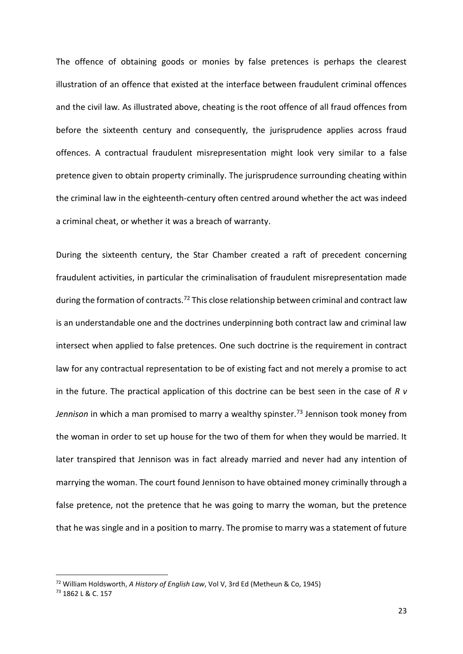The offence of obtaining goods or monies by false pretences is perhaps the clearest illustration of an offence that existed at the interface between fraudulent criminal offences and the civil law. As illustrated above, cheating is the root offence of all fraud offences from before the sixteenth century and consequently, the jurisprudence applies across fraud offences. A contractual fraudulent misrepresentation might look very similar to a false pretence given to obtain property criminally. The jurisprudence surrounding cheating within the criminal law in the eighteenth-century often centred around whether the act was indeed a criminal cheat, or whether it was a breach of warranty.

During the sixteenth century, the Star Chamber created a raft of precedent concerning fraudulent activities, in particular the criminalisation of fraudulent misrepresentation made during the formation of contracts.<sup>72</sup> This close relationship between criminal and contract law is an understandable one and the doctrines underpinning both contract law and criminal law intersect when applied to false pretences. One such doctrine is the requirement in contract law for any contractual representation to be of existing fact and not merely a promise to act in the future. The practical application of this doctrine can be best seen in the case of *R v*  Jennison in which a man promised to marry a wealthy spinster.<sup>73</sup> Jennison took money from the woman in order to set up house for the two of them for when they would be married. It later transpired that Jennison was in fact already married and never had any intention of marrying the woman. The court found Jennison to have obtained money criminally through a false pretence, not the pretence that he was going to marry the woman, but the pretence that he was single and in a position to marry. The promise to marry was a statement of future

<sup>72</sup> William Holdsworth, *A History of English Law*, Vol V, 3rd Ed (Metheun & Co, 1945)

<sup>73</sup> 1862 L & C. 157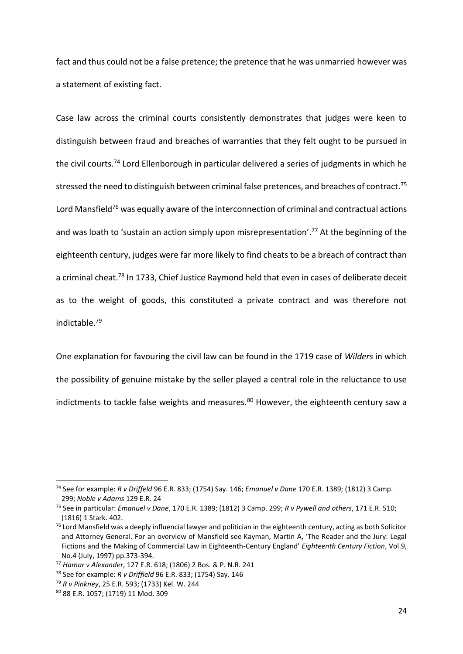fact and thus could not be a false pretence; the pretence that he was unmarried however was a statement of existing fact.

Case law across the criminal courts consistently demonstrates that judges were keen to distinguish between fraud and breaches of warranties that they felt ought to be pursued in the civil courts.<sup>74</sup> Lord Ellenborough in particular delivered a series of judgments in which he stressed the need to distinguish between criminal false pretences, and breaches of contract.<sup>75</sup> Lord Mansfield<sup>76</sup> was equally aware of the interconnection of criminal and contractual actions and was loath to 'sustain an action simply upon misrepresentation'.<sup>77</sup> At the beginning of the eighteenth century, judges were far more likely to find cheats to be a breach of contract than a criminal cheat.<sup>78</sup> In 1733, Chief Justice Raymond held that even in cases of deliberate deceit as to the weight of goods, this constituted a private contract and was therefore not indictable.<sup>79</sup>

One explanation for favouring the civil law can be found in the 1719 case of *Wilders* in which the possibility of genuine mistake by the seller played a central role in the reluctance to use indictments to tackle false weights and measures.<sup>80</sup> However, the eighteenth century saw a

<sup>74</sup> See for example: *R v Driffeld* 96 E.R. 833; (1754) Say. 146; *Emanuel v Dane* 170 E.R. 1389; (1812) 3 Camp. 299; *Noble v Adams* 129 E.R. 24

<sup>75</sup> See in particular: *Emanuel v Dane*, 170 E.R. 1389; (1812) 3 Camp. 299; *R v Pywell and others*, 171 E.R. 510; (1816) 1 Stark. 402.

<sup>&</sup>lt;sup>76</sup> Lord Mansfield was a deeply influencial lawyer and politician in the eighteenth century, acting as both Solicitor and Attorney General. For an overview of Mansfield see Kayman, Martin A, 'The Reader and the Jury: Legal Fictions and the Making of Commercial Law in Eighteenth-Century England' *Eighteenth Century Fiction*, Vol.9, No.4 (July, 1997) pp.373-394.

<sup>77</sup> *Hamar v Alexander*, 127 E.R. 618; (1806) 2 Bos. & P. N.R. 241

<sup>78</sup> See for example: *R v Driffield* [96 E.R. 833; \(1754\) Say. 146](http://login.westlaw.co.uk.liverpool.idm.oclc.org/maf/wluk/app/document?src=doc&linktype=ref&context=14&crumb-action=replace&docguid=I3EFFA711E2B611DD8BD9BE63148EC05D)

<sup>79</sup> *R v Pinkney*, 25 E.R. 593; (1733) Kel. W. 244

<sup>80</sup> 88 E.R. 1057; (1719) 11 Mod. 309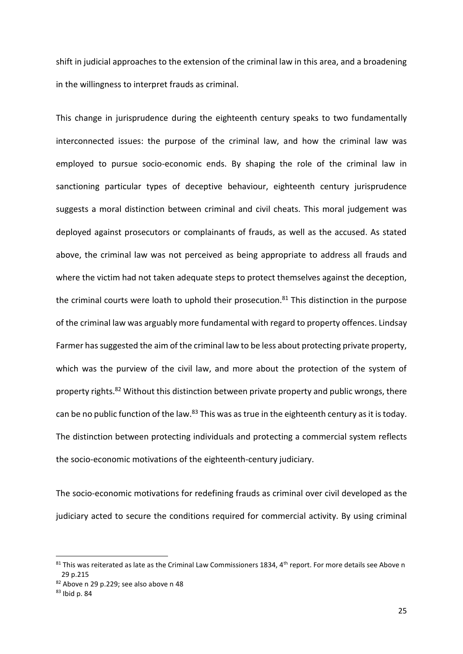shift in judicial approaches to the extension of the criminal law in this area, and a broadening in the willingness to interpret frauds as criminal.

This change in jurisprudence during the eighteenth century speaks to two fundamentally interconnected issues: the purpose of the criminal law, and how the criminal law was employed to pursue socio-economic ends. By shaping the role of the criminal law in sanctioning particular types of deceptive behaviour, eighteenth century jurisprudence suggests a moral distinction between criminal and civil cheats. This moral judgement was deployed against prosecutors or complainants of frauds, as well as the accused. As stated above, the criminal law was not perceived as being appropriate to address all frauds and where the victim had not taken adequate steps to protect themselves against the deception, the criminal courts were loath to uphold their prosecution. $81$  This distinction in the purpose of the criminal law was arguably more fundamental with regard to property offences. Lindsay Farmer has suggested the aim of the criminal law to be less about protecting private property, which was the purview of the civil law, and more about the protection of the system of property rights.<sup>82</sup> Without this distinction between private property and public wrongs, there can be no public function of the law.<sup>83</sup> This was as true in the eighteenth century as it is today. The distinction between protecting individuals and protecting a commercial system reflects the socio-economic motivations of the eighteenth-century judiciary.

The socio-economic motivations for redefining frauds as criminal over civil developed as the judiciary acted to secure the conditions required for commercial activity. By using criminal

 $81$  This was reiterated as late as the Criminal Law Commissioners 1834, 4<sup>th</sup> report. For more details see Above n [29](#page-12-0) p.215

<sup>82</sup> Above n [29](#page-12-0) p.229; see also above n [48](#page-16-0)

<sup>83</sup> Ibid p. 84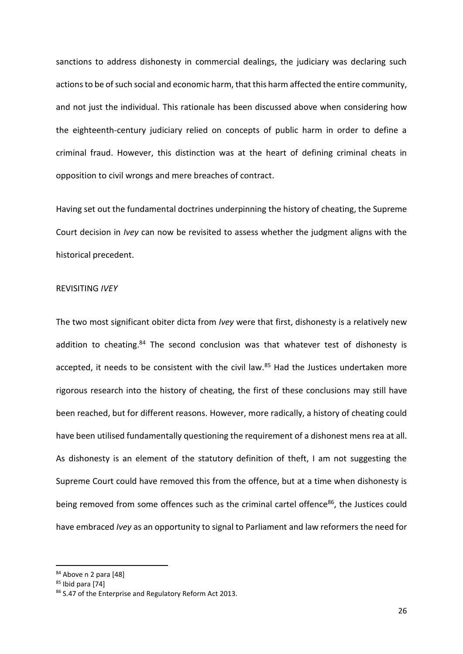sanctions to address dishonesty in commercial dealings, the judiciary was declaring such actions to be of such social and economic harm, that this harm affected the entire community, and not just the individual. This rationale has been discussed above when considering how the eighteenth-century judiciary relied on concepts of public harm in order to define a criminal fraud. However, this distinction was at the heart of defining criminal cheats in opposition to civil wrongs and mere breaches of contract.

Having set out the fundamental doctrines underpinning the history of cheating, the Supreme Court decision in *Ivey* can now be revisited to assess whether the judgment aligns with the historical precedent.

# REVISITING *IVEY*

The two most significant obiter dicta from *Ivey* were that first, dishonesty is a relatively new addition to cheating.<sup>84</sup> The second conclusion was that whatever test of dishonesty is accepted, it needs to be consistent with the civil law.<sup>85</sup> Had the Justices undertaken more rigorous research into the history of cheating, the first of these conclusions may still have been reached, but for different reasons. However, more radically, a history of cheating could have been utilised fundamentally questioning the requirement of a dishonest mens rea at all. As dishonesty is an element of the statutory definition of theft, I am not suggesting the Supreme Court could have removed this from the offence, but at a time when dishonesty is being removed from some offences such as the criminal cartel offence<sup>86</sup>, the Justices could have embraced *Ivey* as an opportunity to signal to Parliament and law reformers the need for

<sup>84</sup> Above n 2 para [48]

 $85$  Ibid para [74]

<sup>86</sup> S.47 of the Enterprise and Regulatory Reform Act 2013.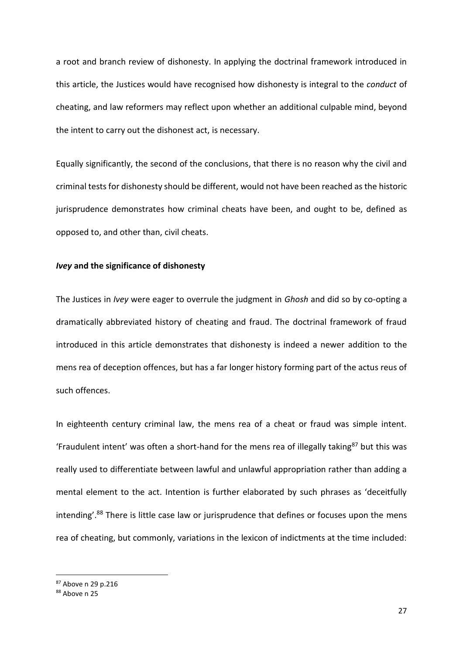a root and branch review of dishonesty. In applying the doctrinal framework introduced in this article, the Justices would have recognised how dishonesty is integral to the *conduct* of cheating, and law reformers may reflect upon whether an additional culpable mind, beyond the intent to carry out the dishonest act, is necessary.

Equally significantly, the second of the conclusions, that there is no reason why the civil and criminal tests for dishonesty should be different, would not have been reached as the historic jurisprudence demonstrates how criminal cheats have been, and ought to be, defined as opposed to, and other than, civil cheats.

#### *Ivey* **and the significance of dishonesty**

The Justices in *Ivey* were eager to overrule the judgment in *Ghosh* and did so by co-opting a dramatically abbreviated history of cheating and fraud. The doctrinal framework of fraud introduced in this article demonstrates that dishonesty is indeed a newer addition to the mens rea of deception offences, but has a far longer history forming part of the actus reus of such offences.

In eighteenth century criminal law, the mens rea of a cheat or fraud was simple intent. 'Fraudulent intent' was often a short-hand for the mens rea of illegally taking<sup>87</sup> but this was really used to differentiate between lawful and unlawful appropriation rather than adding a mental element to the act. Intention is further elaborated by such phrases as 'deceitfully intending'.<sup>88</sup> There is little case law or jurisprudence that defines or focuses upon the mens rea of cheating, but commonly, variations in the lexicon of indictments at the time included:

<sup>87</sup> Above n [29](#page-12-0) p.216

<sup>88</sup> Above n [25](#page-11-0)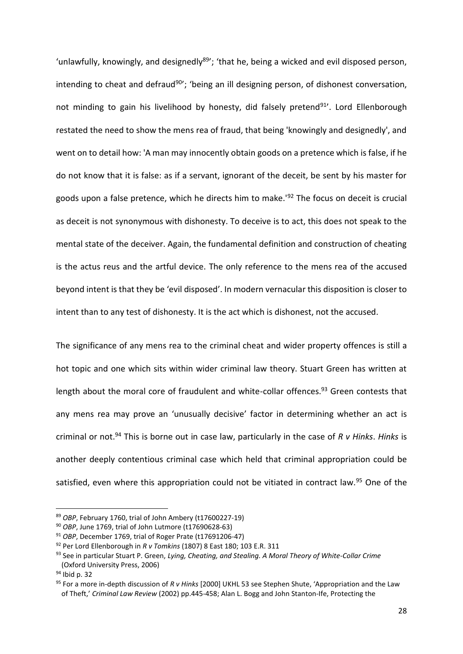'unlawfully, knowingly, and designedly<sup>89'</sup>; 'that he, being a wicked and evil disposed person, intending to cheat and defraud<sup>90</sup>'; 'being an ill designing person, of dishonest conversation, not minding to gain his livelihood by honesty, did falsely pretend<sup>91</sup>'. Lord Ellenborough restated the need to show the mens rea of fraud, that being 'knowingly and designedly', and went on to detail how: 'A man may innocently obtain goods on a pretence which is false, if he do not know that it is false: as if a servant, ignorant of the deceit, be sent by his master for goods upon a false pretence, which he directs him to make.<sup>'92</sup> The focus on deceit is crucial as deceit is not synonymous with dishonesty. To deceive is to act, this does not speak to the mental state of the deceiver. Again, the fundamental definition and construction of cheating is the actus reus and the artful device. The only reference to the mens rea of the accused beyond intent is that they be 'evil disposed'. In modern vernacular this disposition is closer to intent than to any test of dishonesty. It is the act which is dishonest, not the accused.

<span id="page-27-0"></span>The significance of any mens rea to the criminal cheat and wider property offences is still a hot topic and one which sits within wider criminal law theory. Stuart Green has written at length about the moral core of fraudulent and white-collar offences.<sup>93</sup> Green contests that any mens rea may prove an 'unusually decisive' factor in determining whether an act is criminal or not.<sup>94</sup> This is borne out in case law, particularly in the case of *R v Hinks*. *Hinks* is another deeply contentious criminal case which held that criminal appropriation could be satisfied, even where this appropriation could not be vitiated in contract law.<sup>95</sup> One of the

<sup>89</sup> *OBP*, February 1760, trial of John Ambery (t17600227-19)

<sup>90</sup> *OBP*, June 1769, trial of John Lutmore (t17690628-63)

<sup>91</sup> *OBP*, December 1769, trial of Roger Prate (t17691206-47)

<sup>92</sup> Per Lord Ellenborough in *R v Tomkins* (1807) 8 East 180; 103 E.R. 311

<sup>93</sup> See in particular Stuart P. Green, *Lying, Cheating, and Stealing. A Moral Theory of White-Collar Crime* (Oxford University Press, 2006)

<sup>94</sup> Ibid p. 32

<sup>95</sup> For a more in-depth discussion of *R v Hinks* [2000] UKHL 53 see Stephen Shute, 'Appropriation and the Law of Theft,' *Criminal Law Review* (2002) pp.445-458; Alan L. Bogg and John Stanton-Ife, Protecting the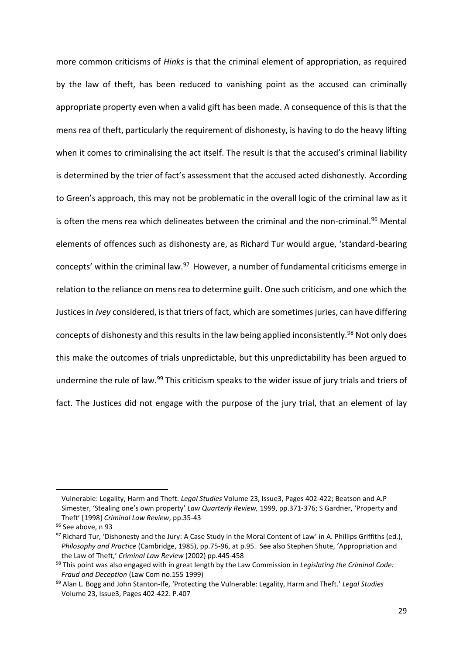<span id="page-28-0"></span>more common criticisms of *Hinks* is that the criminal element of appropriation, as required by the law of theft, has been reduced to vanishing point as the accused can criminally appropriate property even when a valid gift has been made. A consequence of this is that the mens rea of theft, particularly the requirement of dishonesty, is having to do the heavy lifting when it comes to criminalising the act itself. The result is that the accused's criminal liability is determined by the trier of fact's assessment that the accused acted dishonestly. According to Green's approach, this may not be problematic in the overall logic of the criminal law as it is often the mens rea which delineates between the criminal and the non-criminal.<sup>96</sup> Mental elements of offences such as dishonesty are, as Richard Tur would argue, 'standard-bearing concepts' within the criminal law.<sup>97</sup> However, a number of fundamental criticisms emerge in relation to the reliance on mens rea to determine guilt. One such criticism, and one which the Justices in *Ivey* considered, is that triers of fact, which are sometimes juries, can have differing concepts of dishonesty and this results in the law being applied inconsistently.<sup>98</sup> Not only does this make the outcomes of trials unpredictable, but this unpredictability has been argued to undermine the rule of law.<sup>99</sup> This criticism speaks to the wider issue of jury trials and triers of fact. The Justices did not engage with the purpose of the jury trial, that an element of lay

Vulnerable: Legality, Harm and Theft. *Legal Studies* [Volume 23, Issue3,](https://onlinelibrary.wiley.com/toc/1748121x/2003/23/3) Pages 402-422; Beatson and A.P Simester, 'Stealing one's own property' *Law Quarterly Review,* 1999, pp.371-376; S Gardner, 'Property and Theft' [1998] *Criminal Law Review*, pp.35-43

<sup>96</sup> See above, [n 93](#page-27-0)

 $97$  Richard Tur, 'Dishonesty and the Jury: A Case Study in the Moral Content of Law' in A. Phillips Griffiths (ed.), *Philosophy and Practice* (Cambridge, 1985), pp.75-96, at p.95. See also Stephen Shute, 'Appropriation and the Law of Theft,' *Criminal Law Review* (2002) pp.445-458

<sup>98</sup> This point was also engaged with in great length by the Law Commission in *Legislating the Criminal Code: Fraud and Deception* (Law Com no.155 1999)

<sup>99</sup> Alan L. Bogg and John Stanton-Ife, 'Protecting the Vulnerable: Legality, Harm and Theft.' *Legal Studies* [Volume 23, Issue3,](https://onlinelibrary.wiley.com/toc/1748121x/2003/23/3) Pages 402-422. P.407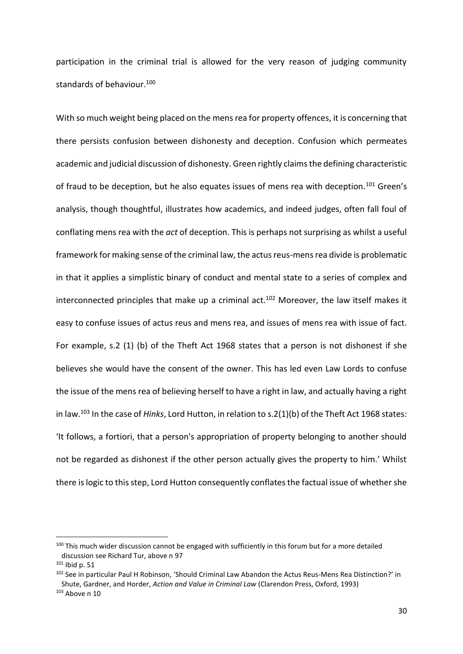participation in the criminal trial is allowed for the very reason of judging community standards of behaviour.<sup>100</sup>

With so much weight being placed on the mens rea for property offences, it is concerning that there persists confusion between dishonesty and deception. Confusion which permeates academic and judicial discussion of dishonesty. Green rightly claims the defining characteristic of fraud to be deception, but he also equates issues of mens rea with deception.<sup>101</sup> Green's analysis, though thoughtful, illustrates how academics, and indeed judges, often fall foul of conflating mens rea with the *act* of deception. This is perhaps not surprising as whilst a useful framework for making sense of the criminal law, the actus reus-mens rea divide is problematic in that it applies a simplistic binary of conduct and mental state to a series of complex and interconnected principles that make up a criminal act.<sup>102</sup> Moreover, the law itself makes it easy to confuse issues of actus reus and mens rea, and issues of mens rea with issue of fact. For example, s.2 (1) (b) of the Theft Act 1968 states that a person is not dishonest if she believes she would have the consent of the owner. This has led even Law Lords to confuse the issue of the mens rea of believing herself to have a right in law, and actually having a right in law.<sup>103</sup> In the case of *Hinks*, Lord Hutton, in relation to s.2(1)(b) of the Theft Act 1968 states: 'It follows, a fortiori, that a person's appropriation of property belonging to another should not be regarded as dishonest if the other person actually gives the property to him.' Whilst there is logic to this step, Lord Hutton consequently conflates the factual issue of whether she

<sup>100</sup> This much wider discussion cannot be engaged with sufficiently in this forum but for a more detailed discussion see Richard Tur, above n [97](#page-28-0)

 $101$  Ibid p. 51

<sup>102</sup> See in particular Paul H Robinson, 'Should Criminal Law Abandon the Actus Reus-Mens Rea Distinction?' in Shute, Gardner, and Horder, *Action and Value in Criminal Law* (Clarendon Press, Oxford, 1993)  $103$  Above n 10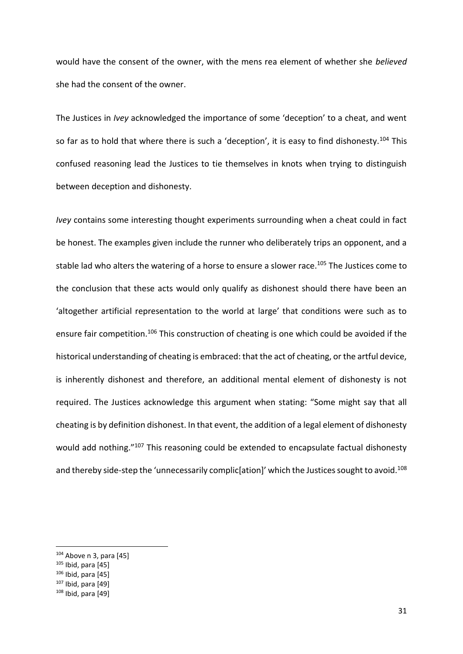would have the consent of the owner, with the mens rea element of whether she *believed* she had the consent of the owner.

The Justices in *Ivey* acknowledged the importance of some 'deception' to a cheat, and went so far as to hold that where there is such a 'deception', it is easy to find dishonesty.<sup>104</sup> This confused reasoning lead the Justices to tie themselves in knots when trying to distinguish between deception and dishonesty.

*Ivey* contains some interesting thought experiments surrounding when a cheat could in fact be honest. The examples given include the runner who deliberately trips an opponent, and a stable lad who alters the watering of a horse to ensure a slower race.<sup>105</sup> The Justices come to the conclusion that these acts would only qualify as dishonest should there have been an 'altogether artificial representation to the world at large' that conditions were such as to ensure fair competition.<sup>106</sup> This construction of cheating is one which could be avoided if the historical understanding of cheating is embraced: that the act of cheating, or the artful device, is inherently dishonest and therefore, an additional mental element of dishonesty is not required. The Justices acknowledge this argument when stating: "Some might say that all cheating is by definition dishonest. In that event, the addition of a legal element of dishonesty would add nothing."<sup>107</sup> This reasoning could be extended to encapsulate factual dishonesty and thereby side-step the 'unnecessarily complic[ation]' which the Justices sought to avoid.<sup>108</sup>

 $104$  Above [n 3,](#page-2-0) para [45]

 $105$  Ibid, para [45]

 $106$  Ibid, para [45]

 $107$  Ibid, para [49]

 $108$  Ibid, para [49]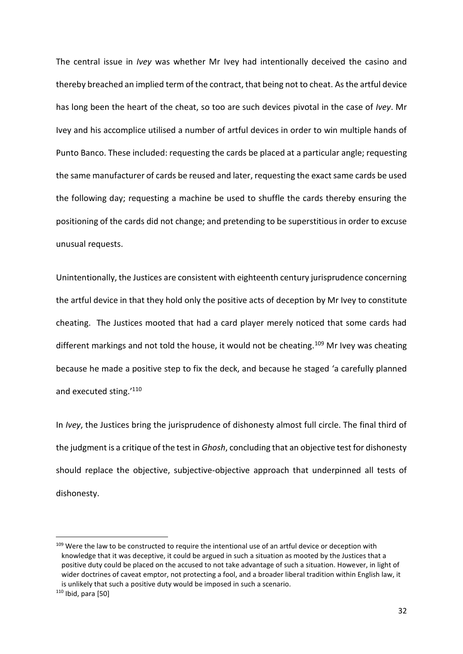The central issue in *Ivey* was whether Mr Ivey had intentionally deceived the casino and thereby breached an implied term of the contract, that being not to cheat. As the artful device has long been the heart of the cheat, so too are such devices pivotal in the case of *Ivey*. Mr Ivey and his accomplice utilised a number of artful devices in order to win multiple hands of Punto Banco. These included: requesting the cards be placed at a particular angle; requesting the same manufacturer of cards be reused and later, requesting the exact same cards be used the following day; requesting a machine be used to shuffle the cards thereby ensuring the positioning of the cards did not change; and pretending to be superstitious in order to excuse unusual requests.

Unintentionally, the Justices are consistent with eighteenth century jurisprudence concerning the artful device in that they hold only the positive acts of deception by Mr Ivey to constitute cheating. The Justices mooted that had a card player merely noticed that some cards had different markings and not told the house, it would not be cheating.<sup>109</sup> Mr Ivey was cheating because he made a positive step to fix the deck, and because he staged 'a carefully planned and executed sting.'<sup>110</sup>

In *Ivey*, the Justices bring the jurisprudence of dishonesty almost full circle. The final third of the judgment is a critique of the test in *Ghosh*, concluding that an objective test for dishonesty should replace the objective, subjective-objective approach that underpinned all tests of dishonesty.

<sup>&</sup>lt;sup>109</sup> Were the law to be constructed to require the intentional use of an artful device or deception with knowledge that it was deceptive, it could be argued in such a situation as mooted by the Justices that a positive duty could be placed on the accused to not take advantage of such a situation. However, in light of wider doctrines of caveat emptor, not protecting a fool, and a broader liberal tradition within English law, it is unlikely that such a positive duty would be imposed in such a scenario.  $110$  Ibid, para [50]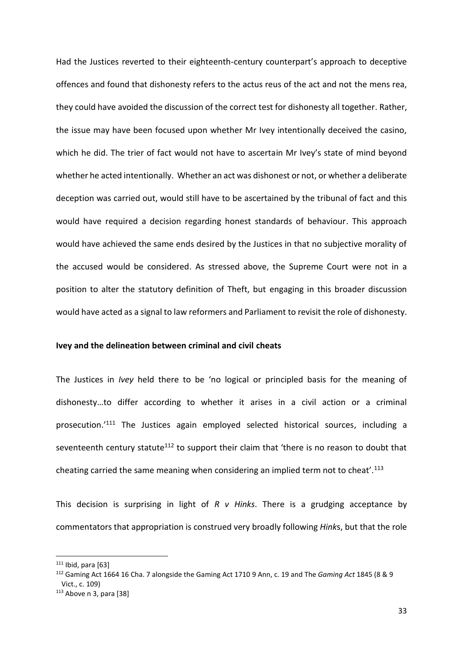Had the Justices reverted to their eighteenth-century counterpart's approach to deceptive offences and found that dishonesty refers to the actus reus of the act and not the mens rea, they could have avoided the discussion of the correct test for dishonesty all together. Rather, the issue may have been focused upon whether Mr Ivey intentionally deceived the casino, which he did. The trier of fact would not have to ascertain Mr Ivey's state of mind beyond whether he acted intentionally. Whether an act was dishonest or not, or whether a deliberate deception was carried out, would still have to be ascertained by the tribunal of fact and this would have required a decision regarding honest standards of behaviour. This approach would have achieved the same ends desired by the Justices in that no subjective morality of the accused would be considered. As stressed above, the Supreme Court were not in a position to alter the statutory definition of Theft, but engaging in this broader discussion would have acted as a signal to law reformers and Parliament to revisit the role of dishonesty.

### **Ivey and the delineation between criminal and civil cheats**

The Justices in *Ivey* held there to be 'no logical or principled basis for the meaning of dishonesty…to differ according to whether it arises in a civil action or a criminal prosecution.'<sup>111</sup> The Justices again employed selected historical sources, including a seventeenth century statute<sup>112</sup> to support their claim that 'there is no reason to doubt that cheating carried the same meaning when considering an implied term not to cheat'.<sup>113</sup>

This decision is surprising in light of *R v Hinks*. There is a grudging acceptance by commentators that appropriation is construed very broadly following *Hink*s, but that the role

 $111$  Ibid, para [63]

<sup>112</sup> Gaming Act 1664 16 Cha. 7 alongside th[e Gaming Act 1710](https://en.wikipedia.org/wiki/Gaming_Act_1710) 9 Ann, c. 19 and The *Gaming Act* 1845 (8 & 9 Vict., c. 109)

 $113$  Above [n 3,](#page-2-0) para [38]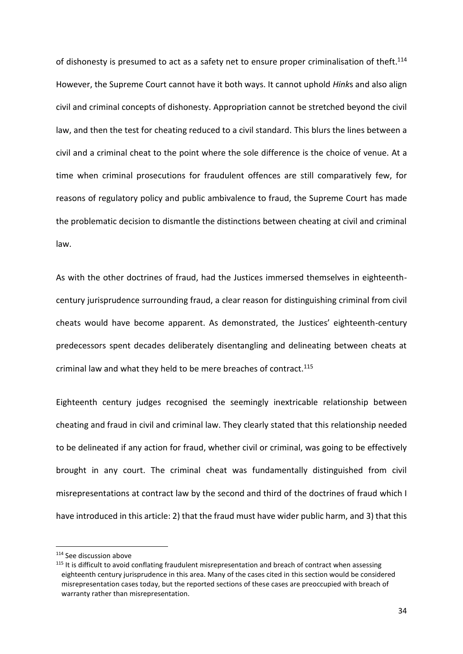of dishonesty is presumed to act as a safety net to ensure proper criminalisation of theft.<sup>114</sup> However, the Supreme Court cannot have it both ways. It cannot uphold *Hink*s and also align civil and criminal concepts of dishonesty. Appropriation cannot be stretched beyond the civil law, and then the test for cheating reduced to a civil standard. This blurs the lines between a civil and a criminal cheat to the point where the sole difference is the choice of venue. At a time when criminal prosecutions for fraudulent offences are still comparatively few, for reasons of regulatory policy and public ambivalence to fraud, the Supreme Court has made the problematic decision to dismantle the distinctions between cheating at civil and criminal law.

As with the other doctrines of fraud, had the Justices immersed themselves in eighteenthcentury jurisprudence surrounding fraud, a clear reason for distinguishing criminal from civil cheats would have become apparent. As demonstrated, the Justices' eighteenth-century predecessors spent decades deliberately disentangling and delineating between cheats at criminal law and what they held to be mere breaches of contract.<sup>115</sup>

Eighteenth century judges recognised the seemingly inextricable relationship between cheating and fraud in civil and criminal law. They clearly stated that this relationship needed to be delineated if any action for fraud, whether civil or criminal, was going to be effectively brought in any court. The criminal cheat was fundamentally distinguished from civil misrepresentations at contract law by the second and third of the doctrines of fraud which I have introduced in this article: 2) that the fraud must have wider public harm, and 3) that this

<sup>114</sup> See discussion above

<sup>&</sup>lt;sup>115</sup> It is difficult to avoid conflating fraudulent misrepresentation and breach of contract when assessing eighteenth century jurisprudence in this area. Many of the cases cited in this section would be considered misrepresentation cases today, but the reported sections of these cases are preoccupied with breach of warranty rather than misrepresentation.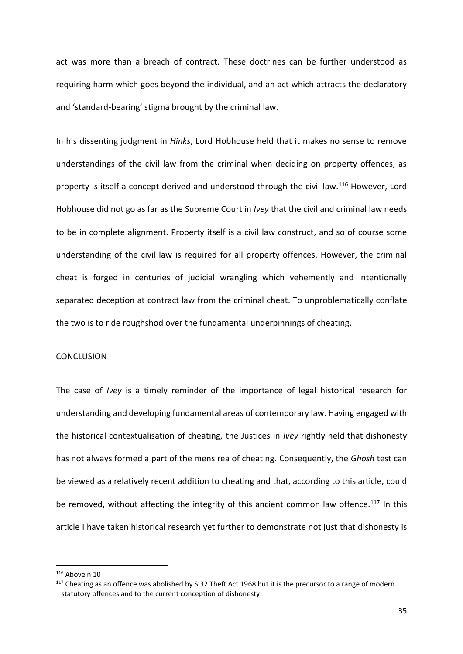act was more than a breach of contract. These doctrines can be further understood as requiring harm which goes beyond the individual, and an act which attracts the declaratory and 'standard-bearing' stigma brought by the criminal law.

In his dissenting judgment in *Hinks*, Lord Hobhouse held that it makes no sense to remove understandings of the civil law from the criminal when deciding on property offences, as property is itself a concept derived and understood through the civil law.<sup>116</sup> However, Lord Hobhouse did not go as far as the Supreme Court in *Ivey* that the civil and criminal law needs to be in complete alignment. Property itself is a civil law construct, and so of course some understanding of the civil law is required for all property offences. However, the criminal cheat is forged in centuries of judicial wrangling which vehemently and intentionally separated deception at contract law from the criminal cheat. To unproblematically conflate the two is to ride roughshod over the fundamental underpinnings of cheating.

## **CONCLUSION**

The case of *Ivey* is a timely reminder of the importance of legal historical research for understanding and developing fundamental areas of contemporary law. Having engaged with the historical contextualisation of cheating, the Justices in *Ivey* rightly held that dishonesty has not always formed a part of the mens rea of cheating. Consequently, the *Ghosh* test can be viewed as a relatively recent addition to cheating and that, according to this article, could be removed, without affecting the integrity of this ancient common law offence.<sup>117</sup> In this article I have taken historical research yet further to demonstrate not just that dishonesty is

<sup>116</sup> Above n 10

 $117$  Cheating as an offence was abolished by S.32 Theft Act 1968 but it is the precursor to a range of modern statutory offences and to the current conception of dishonesty.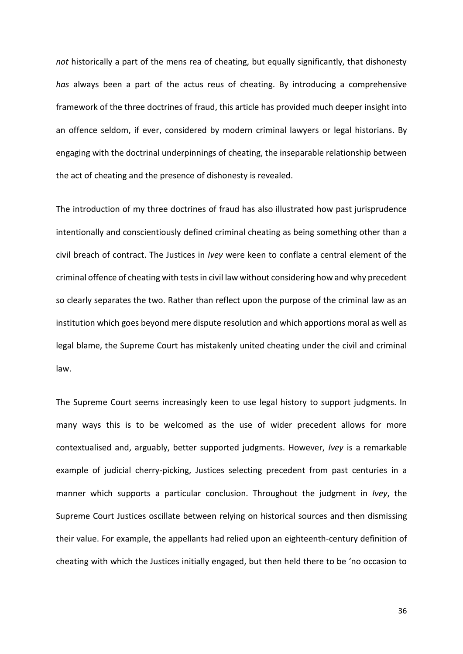*not* historically a part of the mens rea of cheating, but equally significantly, that dishonesty *has* always been a part of the actus reus of cheating. By introducing a comprehensive framework of the three doctrines of fraud, this article has provided much deeper insight into an offence seldom, if ever, considered by modern criminal lawyers or legal historians. By engaging with the doctrinal underpinnings of cheating, the inseparable relationship between the act of cheating and the presence of dishonesty is revealed.

The introduction of my three doctrines of fraud has also illustrated how past jurisprudence intentionally and conscientiously defined criminal cheating as being something other than a civil breach of contract. The Justices in *Ivey* were keen to conflate a central element of the criminal offence of cheating with tests in civil law without considering how and why precedent so clearly separates the two. Rather than reflect upon the purpose of the criminal law as an institution which goes beyond mere dispute resolution and which apportions moral as well as legal blame, the Supreme Court has mistakenly united cheating under the civil and criminal law.

The Supreme Court seems increasingly keen to use legal history to support judgments. In many ways this is to be welcomed as the use of wider precedent allows for more contextualised and, arguably, better supported judgments. However, *Ivey* is a remarkable example of judicial cherry-picking, Justices selecting precedent from past centuries in a manner which supports a particular conclusion. Throughout the judgment in *Ivey*, the Supreme Court Justices oscillate between relying on historical sources and then dismissing their value. For example, the appellants had relied upon an eighteenth-century definition of cheating with which the Justices initially engaged, but then held there to be 'no occasion to